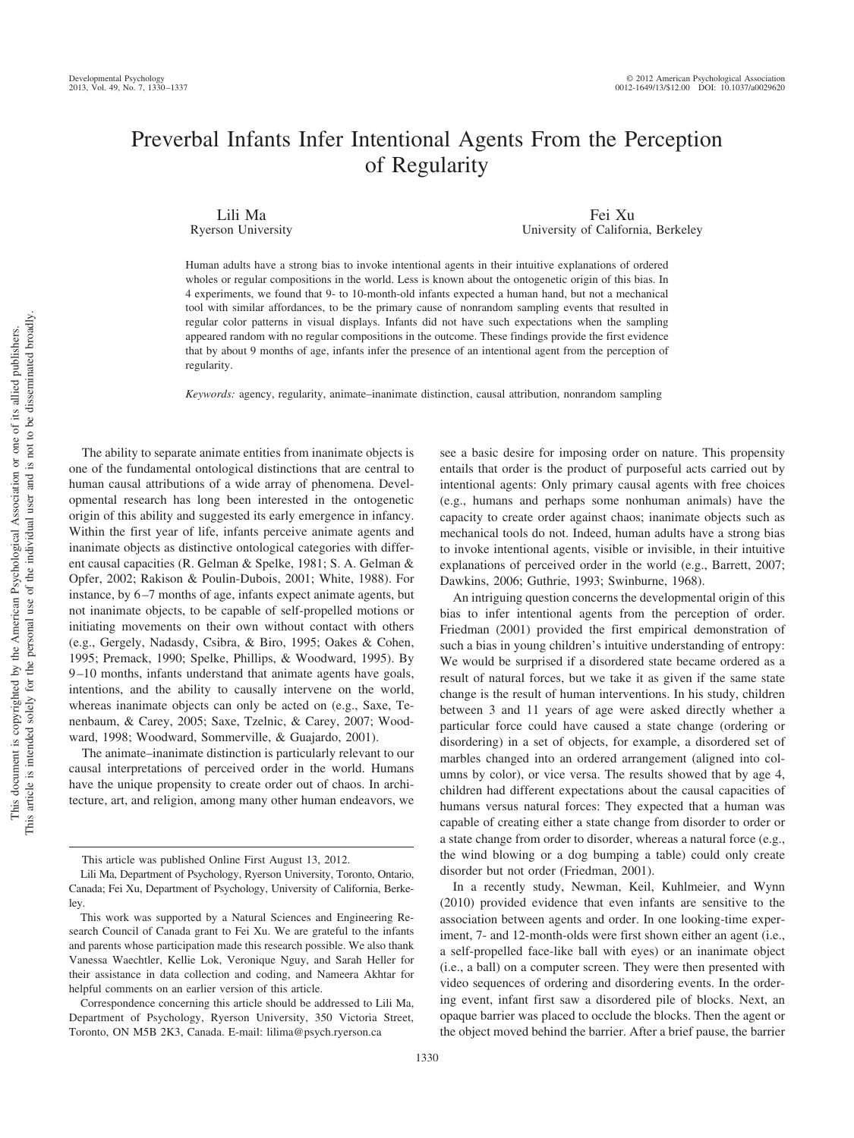# Preverbal Infants Infer Intentional Agents From the Perception of Regularity

Lili Ma Ryerson University

Fei Xu University of California, Berkeley

Human adults have a strong bias to invoke intentional agents in their intuitive explanations of ordered wholes or regular compositions in the world. Less is known about the ontogenetic origin of this bias. In 4 experiments, we found that 9- to 10-month-old infants expected a human hand, but not a mechanical tool with similar affordances, to be the primary cause of nonrandom sampling events that resulted in regular color patterns in visual displays. Infants did not have such expectations when the sampling appeared random with no regular compositions in the outcome. These findings provide the first evidence that by about 9 months of age, infants infer the presence of an intentional agent from the perception of regularity.

*Keywords:* agency, regularity, animate–inanimate distinction, causal attribution, nonrandom sampling

The ability to separate animate entities from inanimate objects is one of the fundamental ontological distinctions that are central to human causal attributions of a wide array of phenomena. Developmental research has long been interested in the ontogenetic origin of this ability and suggested its early emergence in infancy. Within the first year of life, infants perceive animate agents and inanimate objects as distinctive ontological categories with different causal capacities (R. Gelman & Spelke, 1981; S. A. Gelman & Opfer, 2002; Rakison & Poulin-Dubois, 2001; White, 1988). For instance, by 6–7 months of age, infants expect animate agents, but not inanimate objects, to be capable of self-propelled motions or initiating movements on their own without contact with others (e.g., Gergely, Nadasdy, Csibra, & Biro, 1995; Oakes & Cohen, 1995; Premack, 1990; Spelke, Phillips, & Woodward, 1995). By 9 –10 months, infants understand that animate agents have goals, intentions, and the ability to causally intervene on the world, whereas inanimate objects can only be acted on (e.g., Saxe, Tenenbaum, & Carey, 2005; Saxe, Tzelnic, & Carey, 2007; Woodward, 1998; Woodward, Sommerville, & Guajardo, 2001).

The animate–inanimate distinction is particularly relevant to our causal interpretations of perceived order in the world. Humans have the unique propensity to create order out of chaos. In architecture, art, and religion, among many other human endeavors, we see a basic desire for imposing order on nature. This propensity entails that order is the product of purposeful acts carried out by intentional agents: Only primary causal agents with free choices (e.g., humans and perhaps some nonhuman animals) have the capacity to create order against chaos; inanimate objects such as mechanical tools do not. Indeed, human adults have a strong bias to invoke intentional agents, visible or invisible, in their intuitive explanations of perceived order in the world (e.g., Barrett, 2007; Dawkins, 2006; Guthrie, 1993; Swinburne, 1968).

An intriguing question concerns the developmental origin of this bias to infer intentional agents from the perception of order. Friedman (2001) provided the first empirical demonstration of such a bias in young children's intuitive understanding of entropy: We would be surprised if a disordered state became ordered as a result of natural forces, but we take it as given if the same state change is the result of human interventions. In his study, children between 3 and 11 years of age were asked directly whether a particular force could have caused a state change (ordering or disordering) in a set of objects, for example, a disordered set of marbles changed into an ordered arrangement (aligned into columns by color), or vice versa. The results showed that by age 4, children had different expectations about the causal capacities of humans versus natural forces: They expected that a human was capable of creating either a state change from disorder to order or a state change from order to disorder, whereas a natural force (e.g., the wind blowing or a dog bumping a table) could only create disorder but not order (Friedman, 2001).

In a recently study, Newman, Keil, Kuhlmeier, and Wynn (2010) provided evidence that even infants are sensitive to the association between agents and order. In one looking-time experiment, 7- and 12-month-olds were first shown either an agent (i.e., a self-propelled face-like ball with eyes) or an inanimate object (i.e., a ball) on a computer screen. They were then presented with video sequences of ordering and disordering events. In the ordering event, infant first saw a disordered pile of blocks. Next, an opaque barrier was placed to occlude the blocks. Then the agent or the object moved behind the barrier. After a brief pause, the barrier

This article was published Online First August 13, 2012.

Lili Ma, Department of Psychology, Ryerson University, Toronto, Ontario, Canada; Fei Xu, Department of Psychology, University of California, Berkeley.

This work was supported by a Natural Sciences and Engineering Research Council of Canada grant to Fei Xu. We are grateful to the infants and parents whose participation made this research possible. We also thank Vanessa Waechtler, Kellie Lok, Veronique Nguy, and Sarah Heller for their assistance in data collection and coding, and Nameera Akhtar for helpful comments on an earlier version of this article.

Correspondence concerning this article should be addressed to Lili Ma, Department of Psychology, Ryerson University, 350 Victoria Street, Toronto, ON M5B 2K3, Canada. E-mail: lilima@psych.ryerson.ca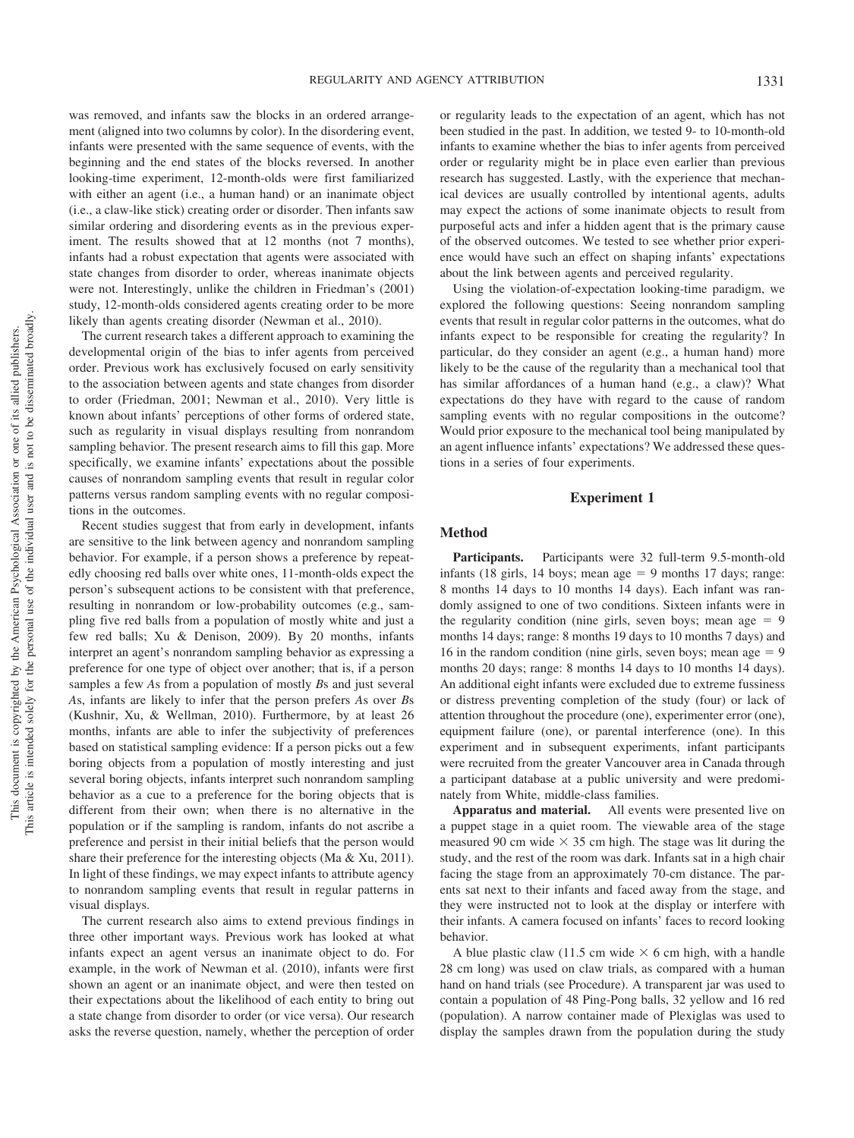was removed, and infants saw the blocks in an ordered arrangement (aligned into two columns by color). In the disordering event, infants were presented with the same sequence of events, with the beginning and the end states of the blocks reversed. In another looking-time experiment, 12-month-olds were first familiarized with either an agent (i.e., a human hand) or an inanimate object (i.e., a claw-like stick) creating order or disorder. Then infants saw similar ordering and disordering events as in the previous experiment. The results showed that at 12 months (not 7 months), infants had a robust expectation that agents were associated with state changes from disorder to order, whereas inanimate objects were not. Interestingly, unlike the children in Friedman's (2001) study, 12-month-olds considered agents creating order to be more likely than agents creating disorder (Newman et al., 2010).

The current research takes a different approach to examining the developmental origin of the bias to infer agents from perceived order. Previous work has exclusively focused on early sensitivity to the association between agents and state changes from disorder to order (Friedman, 2001; Newman et al., 2010). Very little is known about infants' perceptions of other forms of ordered state, such as regularity in visual displays resulting from nonrandom sampling behavior. The present research aims to fill this gap. More specifically, we examine infants' expectations about the possible causes of nonrandom sampling events that result in regular color patterns versus random sampling events with no regular compositions in the outcomes.

Recent studies suggest that from early in development, infants are sensitive to the link between agency and nonrandom sampling behavior. For example, if a person shows a preference by repeatedly choosing red balls over white ones, 11-month-olds expect the person's subsequent actions to be consistent with that preference, resulting in nonrandom or low-probability outcomes (e.g., sampling five red balls from a population of mostly white and just a few red balls; Xu & Denison, 2009). By 20 months, infants interpret an agent's nonrandom sampling behavior as expressing a preference for one type of object over another; that is, if a person samples a few *A*s from a population of mostly *B*s and just several *A*s, infants are likely to infer that the person prefers *A*s over *B*s (Kushnir, Xu, & Wellman, 2010). Furthermore, by at least 26 months, infants are able to infer the subjectivity of preferences based on statistical sampling evidence: If a person picks out a few boring objects from a population of mostly interesting and just several boring objects, infants interpret such nonrandom sampling behavior as a cue to a preference for the boring objects that is different from their own; when there is no alternative in the population or if the sampling is random, infants do not ascribe a preference and persist in their initial beliefs that the person would share their preference for the interesting objects (Ma & Xu, 2011). In light of these findings, we may expect infants to attribute agency to nonrandom sampling events that result in regular patterns in visual displays.

The current research also aims to extend previous findings in three other important ways. Previous work has looked at what infants expect an agent versus an inanimate object to do. For example, in the work of Newman et al. (2010), infants were first shown an agent or an inanimate object, and were then tested on their expectations about the likelihood of each entity to bring out a state change from disorder to order (or vice versa). Our research asks the reverse question, namely, whether the perception of order or regularity leads to the expectation of an agent, which has not been studied in the past. In addition, we tested 9- to 10-month-old infants to examine whether the bias to infer agents from perceived order or regularity might be in place even earlier than previous research has suggested. Lastly, with the experience that mechanical devices are usually controlled by intentional agents, adults may expect the actions of some inanimate objects to result from purposeful acts and infer a hidden agent that is the primary cause of the observed outcomes. We tested to see whether prior experience would have such an effect on shaping infants' expectations about the link between agents and perceived regularity.

Using the violation-of-expectation looking-time paradigm, we explored the following questions: Seeing nonrandom sampling events that result in regular color patterns in the outcomes, what do infants expect to be responsible for creating the regularity? In particular, do they consider an agent (e.g., a human hand) more likely to be the cause of the regularity than a mechanical tool that has similar affordances of a human hand (e.g., a claw)? What expectations do they have with regard to the cause of random sampling events with no regular compositions in the outcome? Would prior exposure to the mechanical tool being manipulated by an agent influence infants' expectations? We addressed these questions in a series of four experiments.

# **Experiment 1**

# **Method**

Participants. Participants were 32 full-term 9.5-month-old infants (18 girls, 14 boys; mean age  $= 9$  months 17 days; range: 8 months 14 days to 10 months 14 days). Each infant was randomly assigned to one of two conditions. Sixteen infants were in the regularity condition (nine girls, seven boys; mean age  $= 9$ months 14 days; range: 8 months 19 days to 10 months 7 days) and 16 in the random condition (nine girls, seven boys; mean age  $= 9$ months 20 days; range: 8 months 14 days to 10 months 14 days). An additional eight infants were excluded due to extreme fussiness or distress preventing completion of the study (four) or lack of attention throughout the procedure (one), experimenter error (one), equipment failure (one), or parental interference (one). In this experiment and in subsequent experiments, infant participants were recruited from the greater Vancouver area in Canada through a participant database at a public university and were predominately from White, middle-class families.

**Apparatus and material.** All events were presented live on a puppet stage in a quiet room. The viewable area of the stage measured 90 cm wide  $\times$  35 cm high. The stage was lit during the study, and the rest of the room was dark. Infants sat in a high chair facing the stage from an approximately 70-cm distance. The parents sat next to their infants and faced away from the stage, and they were instructed not to look at the display or interfere with their infants. A camera focused on infants' faces to record looking behavior.

A blue plastic claw (11.5 cm wide  $\times$  6 cm high, with a handle 28 cm long) was used on claw trials, as compared with a human hand on hand trials (see Procedure). A transparent jar was used to contain a population of 48 Ping-Pong balls, 32 yellow and 16 red (population). A narrow container made of Plexiglas was used to display the samples drawn from the population during the study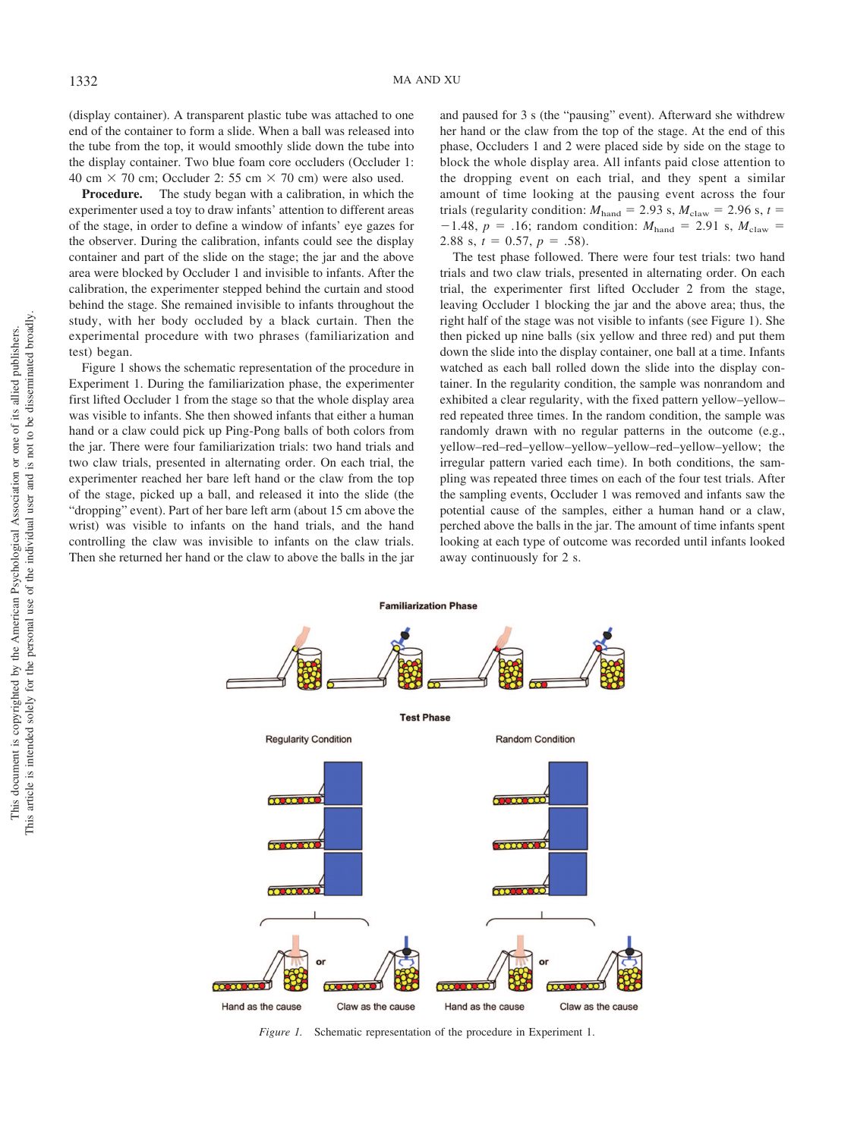(display container). A transparent plastic tube was attached to one end of the container to form a slide. When a ball was released into the tube from the top, it would smoothly slide down the tube into the display container. Two blue foam core occluders (Occluder 1: 40 cm  $\times$  70 cm; Occluder 2: 55 cm  $\times$  70 cm) were also used.

**Procedure.** The study began with a calibration, in which the experimenter used a toy to draw infants' attention to different areas of the stage, in order to define a window of infants' eye gazes for the observer. During the calibration, infants could see the display container and part of the slide on the stage; the jar and the above area were blocked by Occluder 1 and invisible to infants. After the calibration, the experimenter stepped behind the curtain and stood behind the stage. She remained invisible to infants throughout the study, with her body occluded by a black curtain. Then the experimental procedure with two phrases (familiarization and test) began.

Figure 1 shows the schematic representation of the procedure in Experiment 1. During the familiarization phase, the experimenter first lifted Occluder 1 from the stage so that the whole display area was visible to infants. She then showed infants that either a human hand or a claw could pick up Ping-Pong balls of both colors from the jar. There were four familiarization trials: two hand trials and two claw trials, presented in alternating order. On each trial, the experimenter reached her bare left hand or the claw from the top of the stage, picked up a ball, and released it into the slide (the "dropping" event). Part of her bare left arm (about 15 cm above the wrist) was visible to infants on the hand trials, and the hand controlling the claw was invisible to infants on the claw trials. Then she returned her hand or the claw to above the balls in the jar

and paused for 3 s (the "pausing" event). Afterward she withdrew her hand or the claw from the top of the stage. At the end of this phase, Occluders 1 and 2 were placed side by side on the stage to block the whole display area. All infants paid close attention to the dropping event on each trial, and they spent a similar amount of time looking at the pausing event across the four trials (regularity condition:  $M_{\text{hand}} = 2.93$  s,  $M_{\text{claw}} = 2.96$  s,  $t =$  $-1.48$ ,  $p = .16$ ; random condition:  $M_{\text{hand}} = 2.91$  s,  $M_{\text{claw}} =$ 2.88 s,  $t = 0.57$ ,  $p = .58$ ).

The test phase followed. There were four test trials: two hand trials and two claw trials, presented in alternating order. On each trial, the experimenter first lifted Occluder 2 from the stage, leaving Occluder 1 blocking the jar and the above area; thus, the right half of the stage was not visible to infants (see Figure 1). She then picked up nine balls (six yellow and three red) and put them down the slide into the display container, one ball at a time. Infants watched as each ball rolled down the slide into the display container. In the regularity condition, the sample was nonrandom and exhibited a clear regularity, with the fixed pattern yellow–yellow– red repeated three times. In the random condition, the sample was randomly drawn with no regular patterns in the outcome (e.g., yellow–red–red–yellow–yellow–yellow–red–yellow–yellow; the irregular pattern varied each time). In both conditions, the sampling was repeated three times on each of the four test trials. After the sampling events, Occluder 1 was removed and infants saw the potential cause of the samples, either a human hand or a claw, perched above the balls in the jar. The amount of time infants spent looking at each type of outcome was recorded until infants looked away continuously for 2 s.



*Figure 1.* Schematic representation of the procedure in Experiment 1.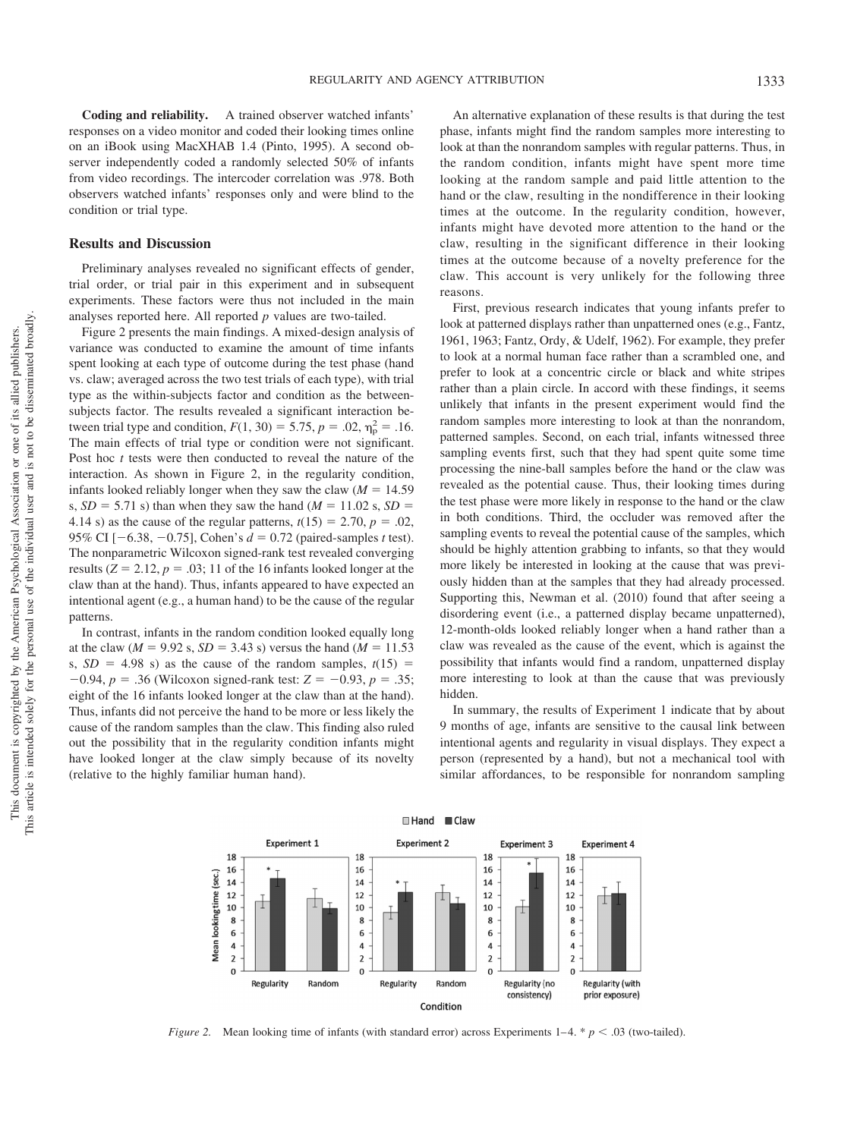**Coding and reliability.** A trained observer watched infants' responses on a video monitor and coded their looking times online on an iBook using MacXHAB 1.4 (Pinto, 1995). A second observer independently coded a randomly selected 50% of infants from video recordings. The intercoder correlation was .978. Both observers watched infants' responses only and were blind to the condition or trial type.

#### **Results and Discussion**

Preliminary analyses revealed no significant effects of gender, trial order, or trial pair in this experiment and in subsequent experiments. These factors were thus not included in the main analyses reported here. All reported *p* values are two-tailed.

Figure 2 presents the main findings. A mixed-design analysis of variance was conducted to examine the amount of time infants spent looking at each type of outcome during the test phase (hand vs. claw; averaged across the two test trials of each type), with trial type as the within-subjects factor and condition as the betweensubjects factor. The results revealed a significant interaction between trial type and condition,  $F(1, 30) = 5.75$ ,  $p = .02$ ,  $\eta_p^2 = .16$ . The main effects of trial type or condition were not significant. Post hoc *t* tests were then conducted to reveal the nature of the interaction. As shown in Figure 2, in the regularity condition, infants looked reliably longer when they saw the claw  $(M = 14.59)$ s,  $SD = 5.71$  s) than when they saw the hand ( $M = 11.02$  s,  $SD =$ 4.14 s) as the cause of the regular patterns,  $t(15) = 2.70$ ,  $p = .02$ , 95% CI [ $-6.38, -0.75$ ], Cohen's  $d = 0.72$  (paired-samples *t* test). The nonparametric Wilcoxon signed-rank test revealed converging results  $(Z = 2.12, p = .03; 11$  of the 16 infants looked longer at the claw than at the hand). Thus, infants appeared to have expected an intentional agent (e.g., a human hand) to be the cause of the regular patterns.

In contrast, infants in the random condition looked equally long at the claw ( $M = 9.92$  s,  $SD = 3.43$  s) versus the hand ( $M = 11.53$ s,  $SD = 4.98$  s) as the cause of the random samples,  $t(15)$  $-0.94$ ,  $p = .36$  (Wilcoxon signed-rank test:  $Z = -0.93$ ,  $p = .35$ ; eight of the 16 infants looked longer at the claw than at the hand). Thus, infants did not perceive the hand to be more or less likely the cause of the random samples than the claw. This finding also ruled out the possibility that in the regularity condition infants might have looked longer at the claw simply because of its novelty (relative to the highly familiar human hand).

An alternative explanation of these results is that during the test phase, infants might find the random samples more interesting to look at than the nonrandom samples with regular patterns. Thus, in the random condition, infants might have spent more time looking at the random sample and paid little attention to the hand or the claw, resulting in the nondifference in their looking times at the outcome. In the regularity condition, however, infants might have devoted more attention to the hand or the claw, resulting in the significant difference in their looking times at the outcome because of a novelty preference for the claw. This account is very unlikely for the following three reasons.

First, previous research indicates that young infants prefer to look at patterned displays rather than unpatterned ones (e.g., Fantz, 1961, 1963; Fantz, Ordy, & Udelf, 1962). For example, they prefer to look at a normal human face rather than a scrambled one, and prefer to look at a concentric circle or black and white stripes rather than a plain circle. In accord with these findings, it seems unlikely that infants in the present experiment would find the random samples more interesting to look at than the nonrandom, patterned samples. Second, on each trial, infants witnessed three sampling events first, such that they had spent quite some time processing the nine-ball samples before the hand or the claw was revealed as the potential cause. Thus, their looking times during the test phase were more likely in response to the hand or the claw in both conditions. Third, the occluder was removed after the sampling events to reveal the potential cause of the samples, which should be highly attention grabbing to infants, so that they would more likely be interested in looking at the cause that was previously hidden than at the samples that they had already processed. Supporting this, Newman et al. (2010) found that after seeing a disordering event (i.e., a patterned display became unpatterned), 12-month-olds looked reliably longer when a hand rather than a claw was revealed as the cause of the event, which is against the possibility that infants would find a random, unpatterned display more interesting to look at than the cause that was previously hidden.

In summary, the results of Experiment 1 indicate that by about 9 months of age, infants are sensitive to the causal link between intentional agents and regularity in visual displays. They expect a person (represented by a hand), but not a mechanical tool with similar affordances, to be responsible for nonrandom sampling



*Figure 2.* Mean looking time of infants (with standard error) across Experiments  $1-4$ ,  $\gamma$   $\epsilon$  0.03 (two-tailed).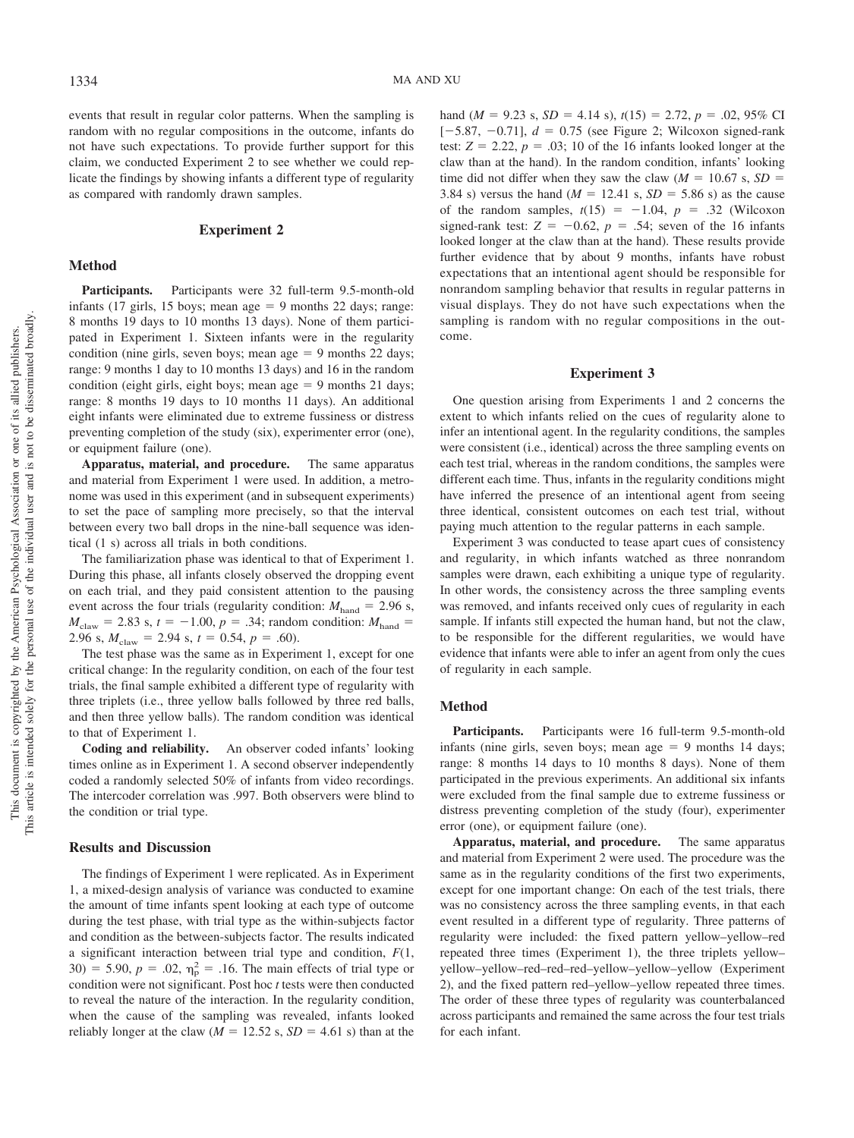events that result in regular color patterns. When the sampling is random with no regular compositions in the outcome, infants do not have such expectations. To provide further support for this claim, we conducted Experiment 2 to see whether we could replicate the findings by showing infants a different type of regularity as compared with randomly drawn samples.

#### **Experiment 2**

# **Method**

Participants. Participants were 32 full-term 9.5-month-old infants (17 girls, 15 boys; mean age  $= 9$  months 22 days; range: 8 months 19 days to 10 months 13 days). None of them participated in Experiment 1. Sixteen infants were in the regularity condition (nine girls, seven boys; mean age  $= 9$  months 22 days; range: 9 months 1 day to 10 months 13 days) and 16 in the random condition (eight girls, eight boys; mean age  $= 9$  months 21 days; range: 8 months 19 days to 10 months 11 days). An additional eight infants were eliminated due to extreme fussiness or distress preventing completion of the study (six), experimenter error (one), or equipment failure (one).

**Apparatus, material, and procedure.** The same apparatus and material from Experiment 1 were used. In addition, a metronome was used in this experiment (and in subsequent experiments) to set the pace of sampling more precisely, so that the interval between every two ball drops in the nine-ball sequence was identical (1 s) across all trials in both conditions.

The familiarization phase was identical to that of Experiment 1. During this phase, all infants closely observed the dropping event on each trial, and they paid consistent attention to the pausing event across the four trials (regularity condition:  $M_{\text{hand}} = 2.96$  s,  $M_{\text{claw}} = 2.83 \text{ s}, t = -1.00, p = .34; \text{ random condition: } M_{\text{hand}} =$ 2.96 s,  $M_{\text{claw}} = 2.94$  s,  $t = 0.54$ ,  $p = .60$ ).

The test phase was the same as in Experiment 1, except for one critical change: In the regularity condition, on each of the four test trials, the final sample exhibited a different type of regularity with three triplets (i.e., three yellow balls followed by three red balls, and then three yellow balls). The random condition was identical to that of Experiment 1.

**Coding and reliability.** An observer coded infants' looking times online as in Experiment 1. A second observer independently coded a randomly selected 50% of infants from video recordings. The intercoder correlation was .997. Both observers were blind to the condition or trial type.

#### **Results and Discussion**

The findings of Experiment 1 were replicated. As in Experiment 1, a mixed-design analysis of variance was conducted to examine the amount of time infants spent looking at each type of outcome during the test phase, with trial type as the within-subjects factor and condition as the between-subjects factor. The results indicated a significant interaction between trial type and condition, *F*(1, 30) = 5.90,  $p = .02$ ,  $\eta_p^2 = .16$ . The main effects of trial type or condition were not significant. Post hoc *t* tests were then conducted to reveal the nature of the interaction. In the regularity condition, when the cause of the sampling was revealed, infants looked reliably longer at the claw ( $M = 12.52$  s,  $SD = 4.61$  s) than at the hand ( $M = 9.23$  s,  $SD = 4.14$  s),  $t(15) = 2.72$ ,  $p = .02$ , 95% CI  $[-5.87, -0.71]$ ,  $d = 0.75$  (see Figure 2; Wilcoxon signed-rank test:  $Z = 2.22$ ,  $p = .03$ ; 10 of the 16 infants looked longer at the claw than at the hand). In the random condition, infants' looking time did not differ when they saw the claw  $(M = 10.67 \text{ s}, SD =$ 3.84 s) versus the hand ( $M = 12.41$  s,  $SD = 5.86$  s) as the cause of the random samples,  $t(15) = -1.04$ ,  $p = .32$  (Wilcoxon signed-rank test:  $Z = -0.62$ ,  $p = .54$ ; seven of the 16 infants looked longer at the claw than at the hand). These results provide further evidence that by about 9 months, infants have robust expectations that an intentional agent should be responsible for nonrandom sampling behavior that results in regular patterns in visual displays. They do not have such expectations when the sampling is random with no regular compositions in the outcome.

#### **Experiment 3**

One question arising from Experiments 1 and 2 concerns the extent to which infants relied on the cues of regularity alone to infer an intentional agent. In the regularity conditions, the samples were consistent (i.e., identical) across the three sampling events on each test trial, whereas in the random conditions, the samples were different each time. Thus, infants in the regularity conditions might have inferred the presence of an intentional agent from seeing three identical, consistent outcomes on each test trial, without paying much attention to the regular patterns in each sample.

Experiment 3 was conducted to tease apart cues of consistency and regularity, in which infants watched as three nonrandom samples were drawn, each exhibiting a unique type of regularity. In other words, the consistency across the three sampling events was removed, and infants received only cues of regularity in each sample. If infants still expected the human hand, but not the claw, to be responsible for the different regularities, we would have evidence that infants were able to infer an agent from only the cues of regularity in each sample.

#### **Method**

Participants. Participants were 16 full-term 9.5-month-old infants (nine girls, seven boys; mean age  $= 9$  months 14 days; range: 8 months 14 days to 10 months 8 days). None of them participated in the previous experiments. An additional six infants were excluded from the final sample due to extreme fussiness or distress preventing completion of the study (four), experimenter error (one), or equipment failure (one).

**Apparatus, material, and procedure.** The same apparatus and material from Experiment 2 were used. The procedure was the same as in the regularity conditions of the first two experiments, except for one important change: On each of the test trials, there was no consistency across the three sampling events, in that each event resulted in a different type of regularity. Three patterns of regularity were included: the fixed pattern yellow–yellow–red repeated three times (Experiment 1), the three triplets yellow– yellow–yellow–red–red–red–yellow–yellow–yellow (Experiment 2), and the fixed pattern red–yellow–yellow repeated three times. The order of these three types of regularity was counterbalanced across participants and remained the same across the four test trials for each infant.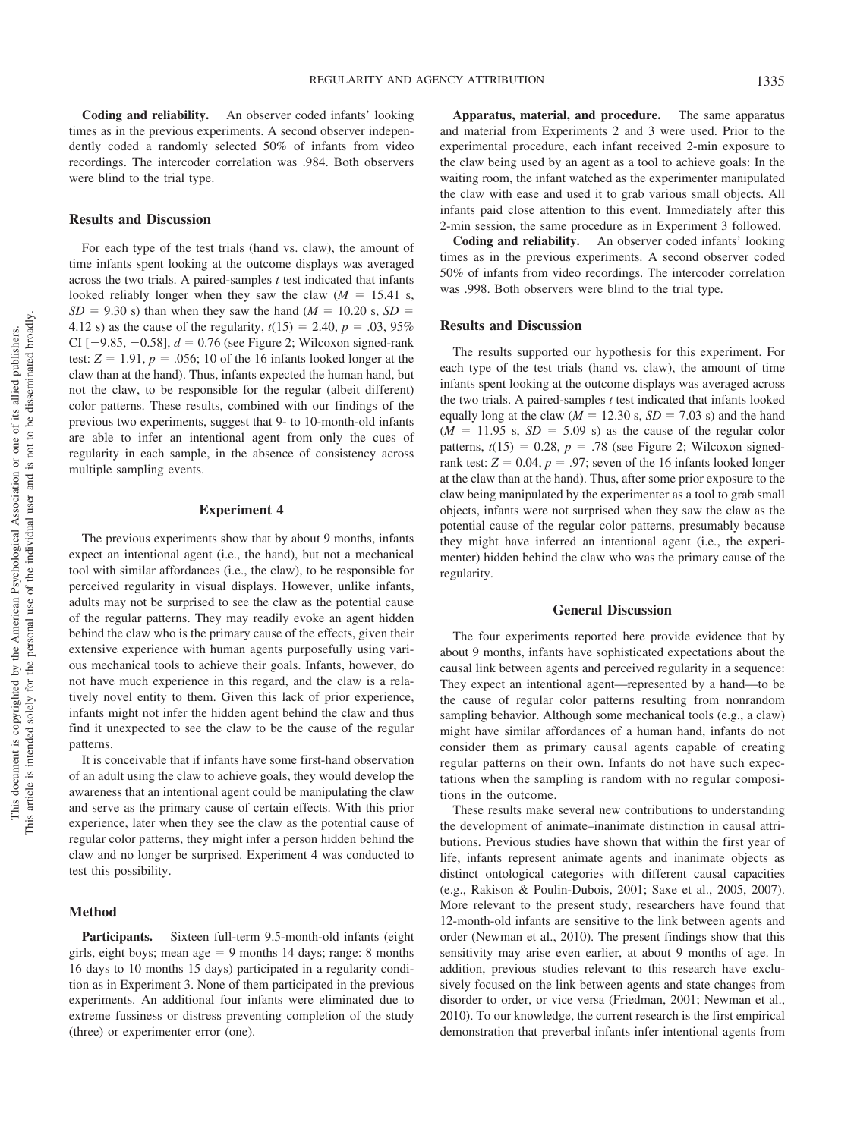**Coding and reliability.** An observer coded infants' looking times as in the previous experiments. A second observer independently coded a randomly selected 50% of infants from video recordings. The intercoder correlation was .984. Both observers were blind to the trial type.

#### **Results and Discussion**

For each type of the test trials (hand vs. claw), the amount of time infants spent looking at the outcome displays was averaged across the two trials. A paired-samples *t* test indicated that infants looked reliably longer when they saw the claw  $(M = 15.41 \text{ s}$ ,  $SD = 9.30$  s) than when they saw the hand ( $M = 10.20$  s,  $SD =$ 4.12 s) as the cause of the regularity,  $t(15) = 2.40$ ,  $p = .03, 95\%$ CI  $[-9.85, -0.58]$ ,  $d = 0.76$  (see Figure 2; Wilcoxon signed-rank test:  $Z = 1.91$ ,  $p = .056$ ; 10 of the 16 infants looked longer at the claw than at the hand). Thus, infants expected the human hand, but not the claw, to be responsible for the regular (albeit different) color patterns. These results, combined with our findings of the previous two experiments, suggest that 9- to 10-month-old infants are able to infer an intentional agent from only the cues of regularity in each sample, in the absence of consistency across multiple sampling events.

# **Experiment 4**

The previous experiments show that by about 9 months, infants expect an intentional agent (i.e., the hand), but not a mechanical tool with similar affordances (i.e., the claw), to be responsible for perceived regularity in visual displays. However, unlike infants, adults may not be surprised to see the claw as the potential cause of the regular patterns. They may readily evoke an agent hidden behind the claw who is the primary cause of the effects, given their extensive experience with human agents purposefully using various mechanical tools to achieve their goals. Infants, however, do not have much experience in this regard, and the claw is a relatively novel entity to them. Given this lack of prior experience, infants might not infer the hidden agent behind the claw and thus find it unexpected to see the claw to be the cause of the regular patterns.

It is conceivable that if infants have some first-hand observation of an adult using the claw to achieve goals, they would develop the awareness that an intentional agent could be manipulating the claw and serve as the primary cause of certain effects. With this prior experience, later when they see the claw as the potential cause of regular color patterns, they might infer a person hidden behind the claw and no longer be surprised. Experiment 4 was conducted to test this possibility.

## **Method**

Participants. Sixteen full-term 9.5-month-old infants (eight) girls, eight boys; mean age  $= 9$  months 14 days; range: 8 months 16 days to 10 months 15 days) participated in a regularity condition as in Experiment 3. None of them participated in the previous experiments. An additional four infants were eliminated due to extreme fussiness or distress preventing completion of the study (three) or experimenter error (one).

**Apparatus, material, and procedure.** The same apparatus and material from Experiments 2 and 3 were used. Prior to the experimental procedure, each infant received 2-min exposure to the claw being used by an agent as a tool to achieve goals: In the waiting room, the infant watched as the experimenter manipulated the claw with ease and used it to grab various small objects. All infants paid close attention to this event. Immediately after this 2-min session, the same procedure as in Experiment 3 followed.

**Coding and reliability.** An observer coded infants' looking times as in the previous experiments. A second observer coded 50% of infants from video recordings. The intercoder correlation was .998. Both observers were blind to the trial type.

#### **Results and Discussion**

The results supported our hypothesis for this experiment. For each type of the test trials (hand vs. claw), the amount of time infants spent looking at the outcome displays was averaged across the two trials. A paired-samples *t* test indicated that infants looked equally long at the claw ( $M = 12.30$  s,  $SD = 7.03$  s) and the hand  $(M = 11.95 \text{ s}, SD = 5.09 \text{ s})$  as the cause of the regular color patterns,  $t(15) = 0.28$ ,  $p = .78$  (see Figure 2; Wilcoxon signedrank test:  $Z = 0.04$ ,  $p = .97$ ; seven of the 16 infants looked longer at the claw than at the hand). Thus, after some prior exposure to the claw being manipulated by the experimenter as a tool to grab small objects, infants were not surprised when they saw the claw as the potential cause of the regular color patterns, presumably because they might have inferred an intentional agent (i.e., the experimenter) hidden behind the claw who was the primary cause of the regularity.

#### **General Discussion**

The four experiments reported here provide evidence that by about 9 months, infants have sophisticated expectations about the causal link between agents and perceived regularity in a sequence: They expect an intentional agent—represented by a hand—to be the cause of regular color patterns resulting from nonrandom sampling behavior. Although some mechanical tools (e.g., a claw) might have similar affordances of a human hand, infants do not consider them as primary causal agents capable of creating regular patterns on their own. Infants do not have such expectations when the sampling is random with no regular compositions in the outcome.

These results make several new contributions to understanding the development of animate–inanimate distinction in causal attributions. Previous studies have shown that within the first year of life, infants represent animate agents and inanimate objects as distinct ontological categories with different causal capacities (e.g., Rakison & Poulin-Dubois, 2001; Saxe et al., 2005, 2007). More relevant to the present study, researchers have found that 12-month-old infants are sensitive to the link between agents and order (Newman et al., 2010). The present findings show that this sensitivity may arise even earlier, at about 9 months of age. In addition, previous studies relevant to this research have exclusively focused on the link between agents and state changes from disorder to order, or vice versa (Friedman, 2001; Newman et al., 2010). To our knowledge, the current research is the first empirical demonstration that preverbal infants infer intentional agents from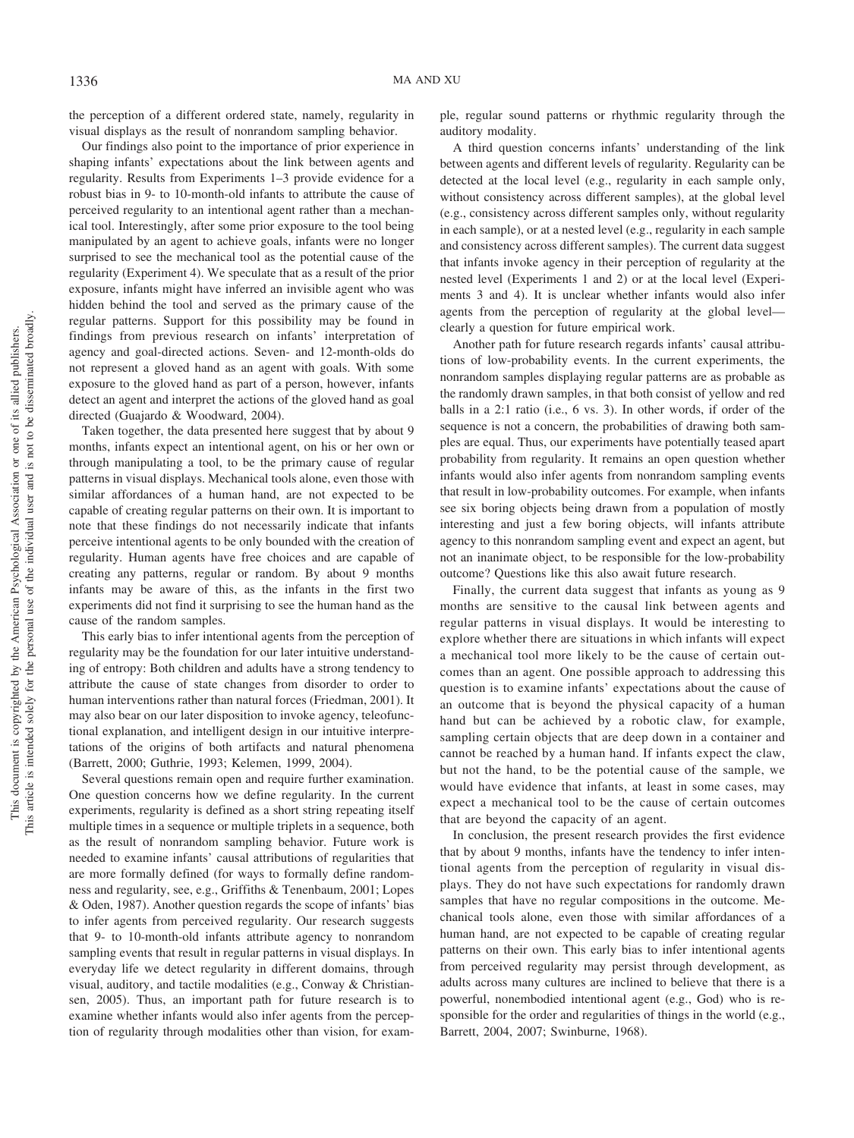the perception of a different ordered state, namely, regularity in visual displays as the result of nonrandom sampling behavior.

Our findings also point to the importance of prior experience in shaping infants' expectations about the link between agents and regularity. Results from Experiments 1–3 provide evidence for a robust bias in 9- to 10-month-old infants to attribute the cause of perceived regularity to an intentional agent rather than a mechanical tool. Interestingly, after some prior exposure to the tool being manipulated by an agent to achieve goals, infants were no longer surprised to see the mechanical tool as the potential cause of the regularity (Experiment 4). We speculate that as a result of the prior exposure, infants might have inferred an invisible agent who was hidden behind the tool and served as the primary cause of the regular patterns. Support for this possibility may be found in findings from previous research on infants' interpretation of agency and goal-directed actions. Seven- and 12-month-olds do not represent a gloved hand as an agent with goals. With some exposure to the gloved hand as part of a person, however, infants detect an agent and interpret the actions of the gloved hand as goal directed (Guajardo & Woodward, 2004).

Taken together, the data presented here suggest that by about 9 months, infants expect an intentional agent, on his or her own or through manipulating a tool, to be the primary cause of regular patterns in visual displays. Mechanical tools alone, even those with similar affordances of a human hand, are not expected to be capable of creating regular patterns on their own. It is important to note that these findings do not necessarily indicate that infants perceive intentional agents to be only bounded with the creation of regularity. Human agents have free choices and are capable of creating any patterns, regular or random. By about 9 months infants may be aware of this, as the infants in the first two experiments did not find it surprising to see the human hand as the cause of the random samples.

This early bias to infer intentional agents from the perception of regularity may be the foundation for our later intuitive understanding of entropy: Both children and adults have a strong tendency to attribute the cause of state changes from disorder to order to human interventions rather than natural forces (Friedman, 2001). It may also bear on our later disposition to invoke agency, teleofunctional explanation, and intelligent design in our intuitive interpretations of the origins of both artifacts and natural phenomena (Barrett, 2000; Guthrie, 1993; Kelemen, 1999, 2004).

Several questions remain open and require further examination. One question concerns how we define regularity. In the current experiments, regularity is defined as a short string repeating itself multiple times in a sequence or multiple triplets in a sequence, both as the result of nonrandom sampling behavior. Future work is needed to examine infants' causal attributions of regularities that are more formally defined (for ways to formally define randomness and regularity, see, e.g., Griffiths & Tenenbaum, 2001; Lopes & Oden, 1987). Another question regards the scope of infants' bias to infer agents from perceived regularity. Our research suggests that 9- to 10-month-old infants attribute agency to nonrandom sampling events that result in regular patterns in visual displays. In everyday life we detect regularity in different domains, through visual, auditory, and tactile modalities (e.g., Conway & Christiansen, 2005). Thus, an important path for future research is to examine whether infants would also infer agents from the perception of regularity through modalities other than vision, for example, regular sound patterns or rhythmic regularity through the auditory modality.

A third question concerns infants' understanding of the link between agents and different levels of regularity. Regularity can be detected at the local level (e.g., regularity in each sample only, without consistency across different samples), at the global level (e.g., consistency across different samples only, without regularity in each sample), or at a nested level (e.g., regularity in each sample and consistency across different samples). The current data suggest that infants invoke agency in their perception of regularity at the nested level (Experiments 1 and 2) or at the local level (Experiments 3 and 4). It is unclear whether infants would also infer agents from the perception of regularity at the global level clearly a question for future empirical work.

Another path for future research regards infants' causal attributions of low-probability events. In the current experiments, the nonrandom samples displaying regular patterns are as probable as the randomly drawn samples, in that both consist of yellow and red balls in a 2:1 ratio (i.e., 6 vs. 3). In other words, if order of the sequence is not a concern, the probabilities of drawing both samples are equal. Thus, our experiments have potentially teased apart probability from regularity. It remains an open question whether infants would also infer agents from nonrandom sampling events that result in low-probability outcomes. For example, when infants see six boring objects being drawn from a population of mostly interesting and just a few boring objects, will infants attribute agency to this nonrandom sampling event and expect an agent, but not an inanimate object, to be responsible for the low-probability outcome? Questions like this also await future research.

Finally, the current data suggest that infants as young as 9 months are sensitive to the causal link between agents and regular patterns in visual displays. It would be interesting to explore whether there are situations in which infants will expect a mechanical tool more likely to be the cause of certain outcomes than an agent. One possible approach to addressing this question is to examine infants' expectations about the cause of an outcome that is beyond the physical capacity of a human hand but can be achieved by a robotic claw, for example, sampling certain objects that are deep down in a container and cannot be reached by a human hand. If infants expect the claw, but not the hand, to be the potential cause of the sample, we would have evidence that infants, at least in some cases, may expect a mechanical tool to be the cause of certain outcomes that are beyond the capacity of an agent.

In conclusion, the present research provides the first evidence that by about 9 months, infants have the tendency to infer intentional agents from the perception of regularity in visual displays. They do not have such expectations for randomly drawn samples that have no regular compositions in the outcome. Mechanical tools alone, even those with similar affordances of a human hand, are not expected to be capable of creating regular patterns on their own. This early bias to infer intentional agents from perceived regularity may persist through development, as adults across many cultures are inclined to believe that there is a powerful, nonembodied intentional agent (e.g., God) who is responsible for the order and regularities of things in the world (e.g., Barrett, 2004, 2007; Swinburne, 1968).